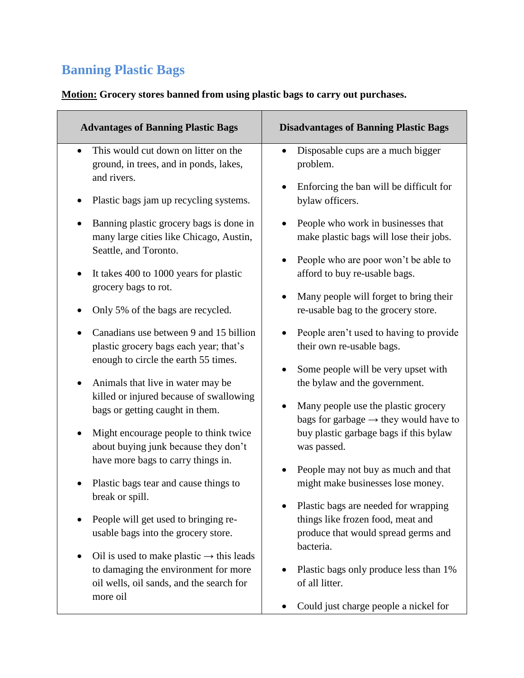## **Banning Plastic Bags**

## **Motion: Grocery stores banned from using plastic bags to carry out purchases.**

| <b>Advantages of Banning Plastic Bags</b>                                                                                                                                                                                                                                                                                                  | <b>Disadvantages of Banning Plastic Bags</b>                                                                                                                                                                                                                                                          |
|--------------------------------------------------------------------------------------------------------------------------------------------------------------------------------------------------------------------------------------------------------------------------------------------------------------------------------------------|-------------------------------------------------------------------------------------------------------------------------------------------------------------------------------------------------------------------------------------------------------------------------------------------------------|
| This would cut down on litter on the                                                                                                                                                                                                                                                                                                       | Disposable cups are a much bigger                                                                                                                                                                                                                                                                     |
| ground, in trees, and in ponds, lakes,                                                                                                                                                                                                                                                                                                     | problem.                                                                                                                                                                                                                                                                                              |
| and rivers.                                                                                                                                                                                                                                                                                                                                | Enforcing the ban will be difficult for                                                                                                                                                                                                                                                               |
| Plastic bags jam up recycling systems.                                                                                                                                                                                                                                                                                                     | bylaw officers.                                                                                                                                                                                                                                                                                       |
| Banning plastic grocery bags is done in                                                                                                                                                                                                                                                                                                    | People who work in businesses that                                                                                                                                                                                                                                                                    |
| many large cities like Chicago, Austin,                                                                                                                                                                                                                                                                                                    | make plastic bags will lose their jobs.                                                                                                                                                                                                                                                               |
| Seattle, and Toronto.                                                                                                                                                                                                                                                                                                                      | People who are poor won't be able to                                                                                                                                                                                                                                                                  |
| It takes 400 to 1000 years for plastic                                                                                                                                                                                                                                                                                                     | afford to buy re-usable bags.                                                                                                                                                                                                                                                                         |
| grocery bags to rot.                                                                                                                                                                                                                                                                                                                       | Many people will forget to bring their                                                                                                                                                                                                                                                                |
| Only 5% of the bags are recycled.                                                                                                                                                                                                                                                                                                          | re-usable bag to the grocery store.                                                                                                                                                                                                                                                                   |
| Canadians use between 9 and 15 billion                                                                                                                                                                                                                                                                                                     | People aren't used to having to provide                                                                                                                                                                                                                                                               |
| plastic grocery bags each year; that's                                                                                                                                                                                                                                                                                                     | their own re-usable bags.                                                                                                                                                                                                                                                                             |
| enough to circle the earth 55 times.<br>Animals that live in water may be<br>killed or injured because of swallowing<br>bags or getting caught in them.<br>Might encourage people to think twice<br>about buying junk because they don't<br>have more bags to carry things in.<br>Plastic bags tear and cause things to<br>break or spill. | Some people will be very upset with<br>the bylaw and the government.<br>Many people use the plastic grocery<br>bags for garbage $\rightarrow$ they would have to<br>buy plastic garbage bags if this bylaw<br>was passed.<br>People may not buy as much and that<br>might make businesses lose money. |
| People will get used to bringing re-<br>usable bags into the grocery store.<br>Oil is used to make plastic $\rightarrow$ this leads<br>to damaging the environment for more<br>oil wells, oil sands, and the search for                                                                                                                    | Plastic bags are needed for wrapping<br>things like frozen food, meat and<br>produce that would spread germs and<br>bacteria.<br>Plastic bags only produce less than 1%<br>of all litter.                                                                                                             |
| more oil                                                                                                                                                                                                                                                                                                                                   | Could just charge people a nickel for                                                                                                                                                                                                                                                                 |